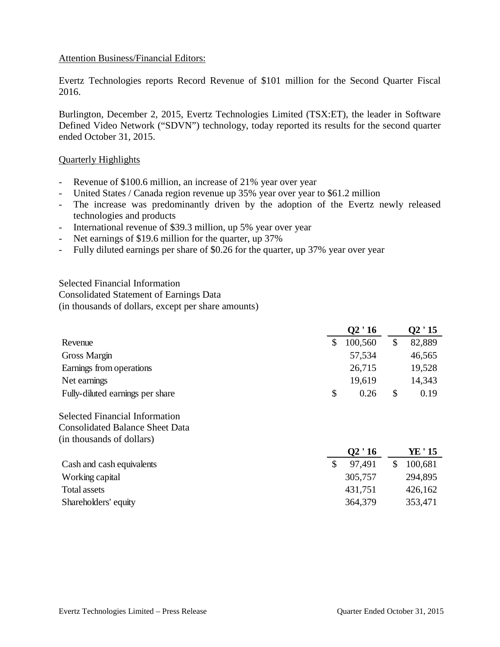## Attention Business/Financial Editors:

Evertz Technologies reports Record Revenue of \$101 million for the Second Quarter Fiscal 2016.

Burlington, December 2, 2015, Evertz Technologies Limited (TSX:ET), the leader in Software Defined Video Network ("SDVN") technology, today reported its results for the second quarter ended October 31, 2015.

#### Quarterly Highlights

- Revenue of \$100.6 million, an increase of 21% year over year
- United States / Canada region revenue up 35% year over year to \$61.2 million
- The increase was predominantly driven by the adoption of the Evertz newly released technologies and products
- International revenue of \$39.3 million, up 5% year over year
- Net earnings of \$19.6 million for the quarter, up 37%
- Fully diluted earnings per share of \$0.26 for the quarter, up 37% year over year

Selected Financial Information Consolidated Statement of Earnings Data (in thousands of dollars, except per share amounts)

|                                  |   | Q2 ' 16 |          | Q2 ' 15 |  |
|----------------------------------|---|---------|----------|---------|--|
| Revenue                          |   | 100,560 |          | 82,889  |  |
| Gross Margin                     |   | 57,534  |          | 46,565  |  |
| Earnings from operations         |   | 26,715  |          | 19,528  |  |
| Net earnings                     |   | 19,619  |          | 14,343  |  |
| Fully-diluted earnings per share | S | 0.26    | <b>S</b> | 0.19    |  |

Selected Financial Information Consolidated Balance Sheet Data (in thousands of dollars)

|                           | Q2'16   | YE ' 15 |
|---------------------------|---------|---------|
| Cash and cash equivalents | 97.491  | 100,681 |
| Working capital           | 305,757 | 294,895 |
| Total assets              | 431,751 | 426,162 |
| Shareholders' equity      | 364,379 | 353,471 |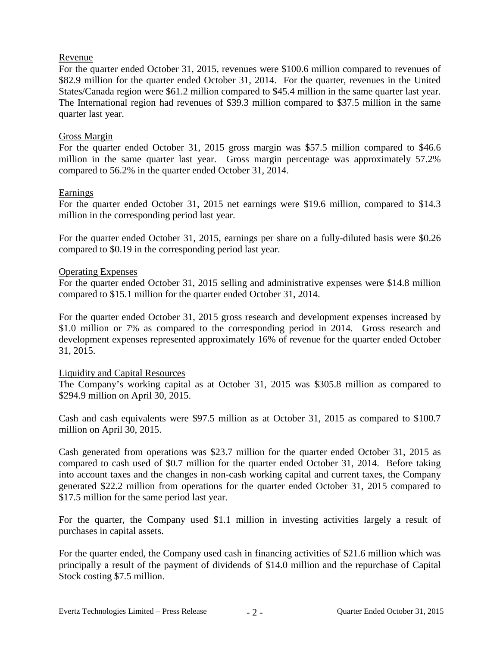## Revenue

For the quarter ended October 31, 2015, revenues were \$100.6 million compared to revenues of \$82.9 million for the quarter ended October 31, 2014. For the quarter, revenues in the United States/Canada region were \$61.2 million compared to \$45.4 million in the same quarter last year. The International region had revenues of \$39.3 million compared to \$37.5 million in the same quarter last year.

## Gross Margin

For the quarter ended October 31, 2015 gross margin was \$57.5 million compared to \$46.6 million in the same quarter last year. Gross margin percentage was approximately 57.2% compared to 56.2% in the quarter ended October 31, 2014.

## Earnings

For the quarter ended October 31, 2015 net earnings were \$19.6 million, compared to \$14.3 million in the corresponding period last year.

For the quarter ended October 31, 2015, earnings per share on a fully-diluted basis were \$0.26 compared to \$0.19 in the corresponding period last year.

## Operating Expenses

For the quarter ended October 31, 2015 selling and administrative expenses were \$14.8 million compared to \$15.1 million for the quarter ended October 31, 2014.

For the quarter ended October 31, 2015 gross research and development expenses increased by \$1.0 million or 7% as compared to the corresponding period in 2014. Gross research and development expenses represented approximately 16% of revenue for the quarter ended October 31, 2015.

#### Liquidity and Capital Resources

The Company's working capital as at October 31, 2015 was \$305.8 million as compared to \$294.9 million on April 30, 2015.

Cash and cash equivalents were \$97.5 million as at October 31, 2015 as compared to \$100.7 million on April 30, 2015.

Cash generated from operations was \$23.7 million for the quarter ended October 31, 2015 as compared to cash used of \$0.7 million for the quarter ended October 31, 2014. Before taking into account taxes and the changes in non-cash working capital and current taxes, the Company generated \$22.2 million from operations for the quarter ended October 31, 2015 compared to \$17.5 million for the same period last year.

For the quarter, the Company used \$1.1 million in investing activities largely a result of purchases in capital assets.

For the quarter ended, the Company used cash in financing activities of \$21.6 million which was principally a result of the payment of dividends of \$14.0 million and the repurchase of Capital Stock costing \$7.5 million.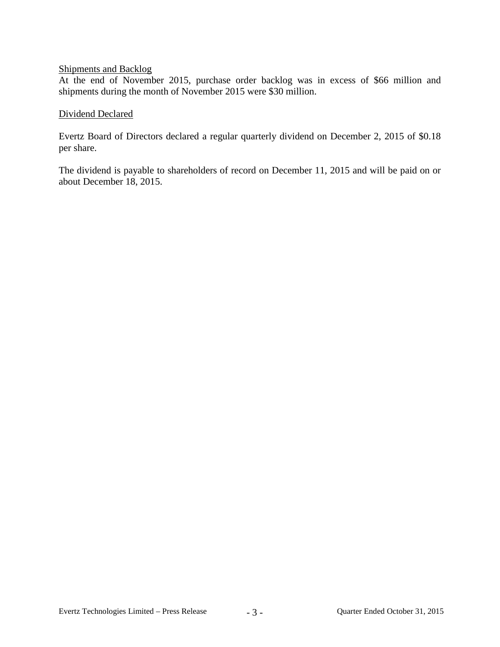## Shipments and Backlog

At the end of November 2015, purchase order backlog was in excess of \$66 million and shipments during the month of November 2015 were \$30 million.

## Dividend Declared

Evertz Board of Directors declared a regular quarterly dividend on December 2, 2015 of \$0.18 per share.

The dividend is payable to shareholders of record on December 11, 2015 and will be paid on or about December 18, 2015.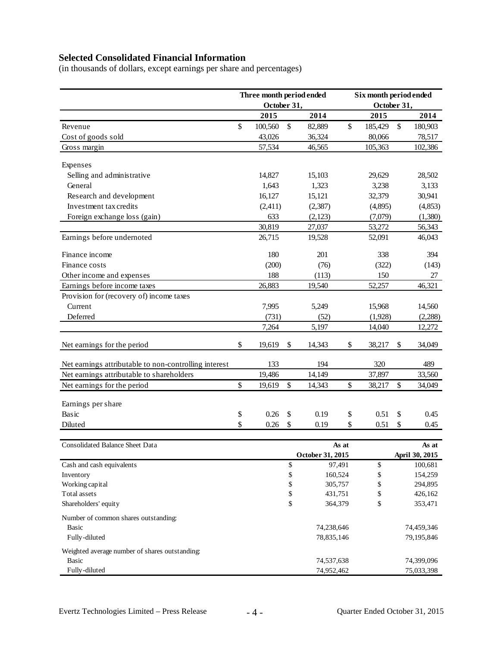# **Selected Consolidated Financial Information**

(in thousands of dollars, except earnings per share and percentages)

|                                                       | Three month period ended |             |               | Six month period ended |                |             |         |                |
|-------------------------------------------------------|--------------------------|-------------|---------------|------------------------|----------------|-------------|---------|----------------|
|                                                       |                          | October 31, |               |                        |                | October 31, |         |                |
|                                                       |                          | 2015        |               | 2014                   |                | 2015        |         | 2014           |
| Revenue                                               | \$                       | 100,560     | $\mathcal{S}$ | 82,889                 | \$             | 185,429     | \$      | 180,903        |
| Cost of goods sold                                    |                          | 43,026      |               | 36,324                 |                | 80,066      |         | 78,517         |
| Gross margin                                          |                          | 57,534      |               | 46,565                 |                | 105,363     |         | 102,386        |
| Expenses                                              |                          |             |               |                        |                |             |         |                |
| Selling and administrative                            |                          | 14,827      |               | 15,103                 |                | 29,629      |         | 28,502         |
| General                                               |                          | 1,643       |               | 1,323                  |                | 3,238       |         | 3,133          |
| Research and development                              |                          | 16,127      |               | 15,121                 |                | 32,379      |         | 30,941         |
| Investment tax credits                                |                          | (2,411)     |               | (2, 387)               |                | (4,895)     |         | (4, 853)       |
| Foreign exchange loss (gain)                          |                          | 633         |               | (2,123)                |                | (7,079)     |         | (1,380)        |
|                                                       |                          | 30,819      |               | 27,037                 |                | 53,272      |         | 56,343         |
| Earnings before undernoted                            |                          | 26,715      |               | 19,528                 |                | 52,091      |         | 46,043         |
| Finance income                                        |                          | 180         |               | 201                    |                | 338         |         | 394            |
| Finance costs                                         |                          | (200)       |               | (76)                   |                | (322)       |         | (143)          |
| Other income and expenses                             |                          | 188         |               | (113)                  |                | 150         |         | 27             |
| Earnings before income taxes                          |                          | 26,883      |               | 19,540                 |                | 52,257      |         | 46,321         |
| Provision for (recovery of) income taxes              |                          |             |               |                        |                |             |         |                |
| Current                                               |                          | 7,995       |               | 5,249                  |                | 15,968      |         | 14,560         |
| Deferred                                              |                          | (731)       |               | (52)                   |                | (1,928)     |         | (2,288)        |
|                                                       |                          | 7,264       |               | 5,197                  |                | 14,040      |         | 12,272         |
| Net earnings for the period                           | \$                       | 19,619      | \$            | 14,343                 | \$             | 38,217      | \$      | 34,049         |
|                                                       |                          |             |               |                        |                |             |         |                |
| Net earnings attributable to non-controlling interest |                          | 133         |               | 194                    |                | 320         |         | 489            |
| Net earnings attributable to shareholders             |                          | 19,486      |               | 14,149                 |                | 37,897      |         | 33,560         |
| Net earnings for the period                           | \$                       | 19,619      | \$            | 14,343                 | \$             | 38,217      | \$      | 34,049         |
| Earnings per share                                    |                          |             |               |                        |                |             |         |                |
| Basic                                                 | \$                       | 0.26        | \$            | 0.19                   | \$             | 0.51        | \$      | 0.45           |
| Diluted                                               | \$                       | 0.26        | \$            | 0.19                   | \$             | 0.51        | \$      | 0.45           |
|                                                       |                          |             |               |                        |                |             |         |                |
| <b>Consolidated Balance Sheet Data</b>                |                          |             |               |                        | As at<br>As at |             |         |                |
|                                                       |                          |             |               | October 31, 2015       |                |             |         | April 30, 2015 |
| Cash and cash equivalents                             |                          |             | \$            | 97,491                 |                | \$          |         | 100,681        |
| Inventory                                             |                          |             | \$            | 160,524                |                | \$          |         | 154,259        |
| Working capital                                       |                          |             | \$            | 305,757                | \$             |             | 294,895 |                |
| Total assets                                          |                          |             | \$            | 431,751                | \$             |             | 426,162 |                |
| Shareholders' equity                                  |                          |             | \$            | 364,379                |                | \$          |         | 353,471        |
| Number of common shares outstanding:                  |                          |             |               |                        |                |             |         |                |
| <b>Basic</b>                                          |                          |             |               | 74,238,646             |                |             |         | 74,459,346     |
| Fully-diluted                                         |                          |             |               | 78,835,146             |                |             |         | 79,195,846     |
| Weighted average number of shares outstanding:        |                          |             |               |                        |                |             |         |                |
| <b>Basic</b>                                          |                          |             |               | 74,537,638             |                |             |         | 74,399,096     |
| Fully-diluted                                         |                          |             |               | 74,952,462             |                |             |         | 75,033,398     |